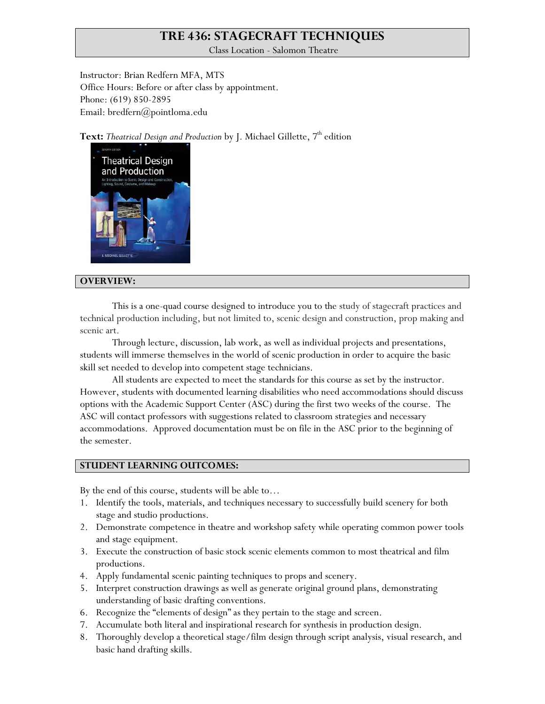# **TRE 436: STAGECRAFT TECHNIQUES**

Class Location - Salomon Theatre

Instructor: Brian Redfern MFA, MTS Office Hours: Before or after class by appointment. Phone: (619) 850-2895 Email: bredfern@pointloma.edu

Text: Theatrical Design and Production by J. Michael Gillette, 7<sup>th</sup> edition



## **OVERVIEW:**

This is a one-quad course designed to introduce you to the study of stagecraft practices and technical production including, but not limited to, scenic design and construction, prop making and scenic art.

Through lecture, discussion, lab work, as well as individual projects and presentations, students will immerse themselves in the world of scenic production in order to acquire the basic skill set needed to develop into competent stage technicians.

All students are expected to meet the standards for this course as set by the instructor. However, students with documented learning disabilities who need accommodations should discuss options with the Academic Support Center (ASC) during the first two weeks of the course. The ASC will contact professors with suggestions related to classroom strategies and necessary accommodations. Approved documentation must be on file in the ASC prior to the beginning of the semester.

### **STUDENT LEARNING OUTCOMES:**

By the end of this course, students will be able to…

- 1. Identify the tools, materials, and techniques necessary to successfully build scenery for both stage and studio productions.
- 2. Demonstrate competence in theatre and workshop safety while operating common power tools and stage equipment.
- 3. Execute the construction of basic stock scenic elements common to most theatrical and film productions.
- 4. Apply fundamental scenic painting techniques to props and scenery.
- 5. Interpret construction drawings as well as generate original ground plans, demonstrating understanding of basic drafting conventions.
- 6. Recognize the "elements of design" as they pertain to the stage and screen.
- 7. Accumulate both literal and inspirational research for synthesis in production design.
- 8. Thoroughly develop a theoretical stage/film design through script analysis, visual research, and basic hand drafting skills.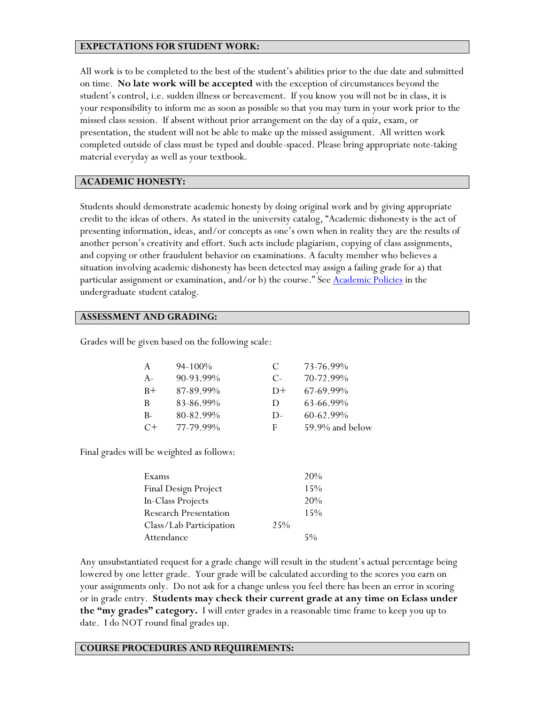## **EXPECTATIONS FOR STUDENT WORK:**

All work is to be completed to the best of the student's abilities prior to the due date and submitted on time. **No late work will be accepted** with the exception of circumstances beyond the student's control, i.e. sudden illness or bereavement. If you know you will not be in class, it is your responsibility to inform me as soon as possible so that you may turn in your work prior to the missed class session. If absent without prior arrangement on the day of a quiz, exam, or presentation, the student will not be able to make up the missed assignment. All written work completed outside of class must be typed and double-spaced. Please bring appropriate note-taking material everyday as well as your textbook.

## **ACADEMIC HONESTY:**

Students should demonstrate academic honesty by doing original work and by giving appropriate credit to the ideas of others. As stated in the university catalog, "Academic dishonesty is the act of presenting information, ideas, and/or concepts as one's own when in reality they are the results of another person's creativity and effort. Such acts include plagiarism, copying of class assignments, and copying or other fraudulent behavior on examinations. A faculty member who believes a situation involving academic dishonesty has been detected may assign a failing grade for a) that particular assignment or examination, and/or b) the course." See [Academic Policies](http://www.pointloma.edu/experience/academics/catalogs/undergraduate-catalog/point-loma-education/academic-policies) in the undergraduate student catalog.

### **ASSESSMENT AND GRADING:**

Grades will be given based on the following scale:

| A     | $94 - 100\%$ | €          | 73-76.99%       |
|-------|--------------|------------|-----------------|
| $A -$ | 90-93.99%    | $C_{\tau}$ | 70-72.99%       |
| $B+$  | 87-89.99%    | $D+$       | 67-69.99%       |
| B     | 83-86.99%    | Ð          | 63-66.99%       |
| $B -$ | 80-82.99%    | $D$ -      | $60-62.99\%$    |
| $C+$  | 77-79.99%    | F          | 59.9% and below |

Final grades will be weighted as follows:

| Exams                        |     | 20%   |
|------------------------------|-----|-------|
| Final Design Project         |     | 15%   |
| In-Class Projects            |     | 20%   |
| <b>Research Presentation</b> |     | 15%   |
| Class/Lab Participation      | 25% |       |
| Attendance                   |     | $5\%$ |

Any unsubstantiated request for a grade change will result in the student's actual percentage being lowered by one letter grade. Your grade will be calculated according to the scores you earn on your assignments only. Do not ask for a change unless you feel there has been an error in scoring or in grade entry. **Students may check their current grade at any time on Eclass under the "my grades" category.** I will enter grades in a reasonable time frame to keep you up to date. I do NOT round final grades up.

### **COURSE PROCEDURES AND REQUIREMENTS:**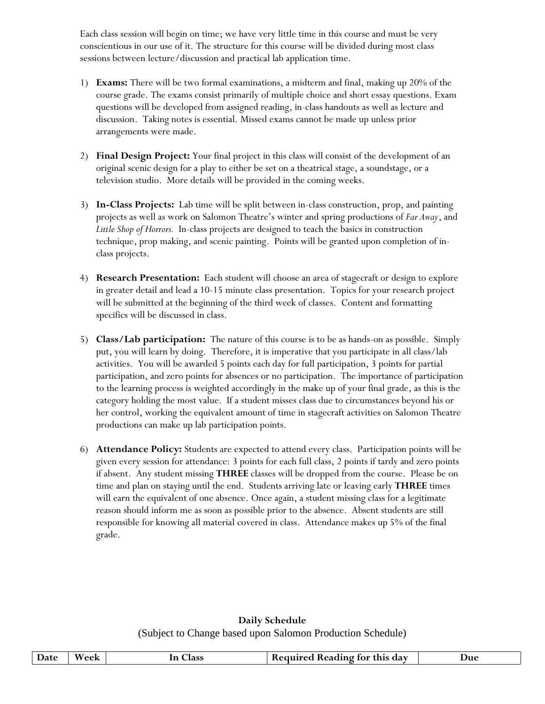Each class session will begin on time; we have very little time in this course and must be very conscientious in our use of it. The structure for this course will be divided during most class sessions between lecture/discussion and practical lab application time.

- 1) **Exams:** There will be two formal examinations, a midterm and final, making up 20% of the course grade. The exams consist primarily of multiple choice and short essay questions. Exam questions will be developed from assigned reading, in-class handouts as well as lecture and discussion. Taking notes is essential. Missed exams cannot be made up unless prior arrangements were made.
- 2) **Final Design Project:** Your final project in this class will consist of the development of an original scenic design for a play to either be set on a theatrical stage, a soundstage, or a television studio. More details will be provided in the coming weeks.
- 3) **In-Class Projects:** Lab time will be split between in-class construction, prop, and painting projects as well as work on Salomon Theatre's winter and spring productions of *Far Away*, and *Little Shop of Horrors.* In-class projects are designed to teach the basics in construction technique, prop making, and scenic painting. Points will be granted upon completion of inclass projects.
- 4) **Research Presentation:** Each student will choose an area of stagecraft or design to explore in greater detail and lead a 10-15 minute class presentation. Topics for your research project will be submitted at the beginning of the third week of classes. Content and formatting specifics will be discussed in class.
- 5) **Class/Lab participation:** The nature of this course is to be as hands-on as possible. Simply put, you will learn by doing. Therefore, it is imperative that you participate in all class/lab activities. You will be awarded 5 points each day for full participation, 3 points for partial participation, and zero points for absences or no participation. The importance of participation to the learning process is weighted accordingly in the make up of your final grade, as this is the category holding the most value. If a student misses class due to circumstances beyond his or her control, working the equivalent amount of time in stagecraft activities on Salomon Theatre productions can make up lab participation points.
- 6) **Attendance Policy:** Students are expected to attend every class. Participation points will be given every session for attendance: 3 points for each full class, 2 points if tardy and zero points if absent. Any student missing **THREE** classes will be dropped from the course. Please be on time and plan on staying until the end. Students arriving late or leaving early **THREE** times will earn the equivalent of one absence. Once again, a student missing class for a legitimate reason should inform me as soon as possible prior to the absence. Absent students are still responsible for knowing all material covered in class. Attendance makes up 5% of the final grade.

## **Daily Schedule** (Subject to Change based upon Salomon Production Schedule)

| Date | Week | <b>Class</b><br>1n | Required Reading for this day | Due |
|------|------|--------------------|-------------------------------|-----|
|      |      |                    |                               |     |